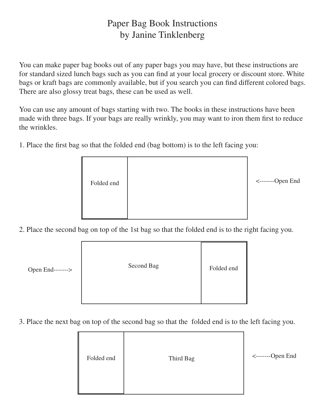## Paper Bag Book Instructions by Janine Tinklenberg

You can make paper bag books out of any paper bags you may have, but these instructions are for standard sized lunch bags such as you can find at your local grocery or discount store. White bags or kraft bags are commonly available, but if you search you can find different colored bags. There are also glossy treat bags, these can be used as well.

You can use any amount of bags starting with two. The books in these instructions have been made with three bags. If your bags are really wrinkly, you may want to iron them first to reduce the wrinkles.

1. Place the first bag so that the folded end (bag bottom) is to the left facing you:



2. Place the second bag on top of the 1st bag so that the folded end is to the right facing you.

| --> | Second Bag | Folded end |
|-----|------------|------------|
|     |            |            |

3. Place the next bag on top of the second bag so that the folded end is to the left facing you.



Open End------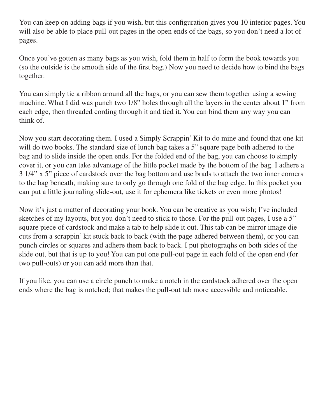You can keep on adding bags if you wish, but this configuration gives you 10 interior pages. You will also be able to place pull-out pages in the open ends of the bags, so you don't need a lot of pages.

Once you've gotten as many bags as you wish, fold them in half to form the book towards you (so the outside is the smooth side of the first bag.) Now you need to decide how to bind the bags together.

You can simply tie a ribbon around all the bags, or you can sew them together using a sewing machine. What I did was punch two 1/8" holes through all the layers in the center about 1" from each edge, then threaded cording through it and tied it. You can bind them any way you can think of.

Now you start decorating them. I used a Simply Scrappin' Kit to do mine and found that one kit will do two books. The standard size of lunch bag takes a 5" square page both adhered to the bag and to slide inside the open ends. For the folded end of the bag, you can choose to simply cover it, or you can take advantage of the little pocket made by the bottom of the bag. I adhere a 3 1/4" x 5" piece of cardstock over the bag bottom and use brads to attach the two inner corners to the bag beneath, making sure to only go through one fold of the bag edge. In this pocket you can put a little journaling slide-out, use it for ephemera like tickets or even more photos!

Now it's just a matter of decorating your book. You can be creative as you wish; I've included sketches of my layouts, but you don't need to stick to those. For the pull-out pages, I use a 5" square piece of cardstock and make a tab to help slide it out. This tab can be mirror image die cuts from a scrappin' kit stuck back to back (with the page adhered between them), or you can punch circles or squares and adhere them back to back. I put photograqhs on both sides of the slide out, but that is up to you! You can put one pull-out page in each fold of the open end (for two pull-outs) or you can add more than that.

If you like, you can use a circle punch to make a notch in the cardstock adhered over the open ends where the bag is notched; that makes the pull-out tab more accessible and noticeable.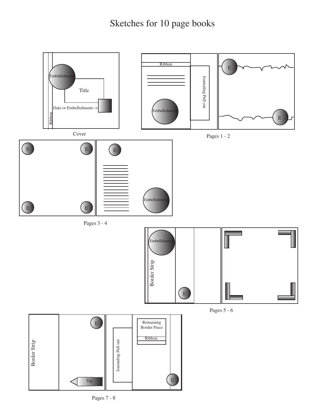